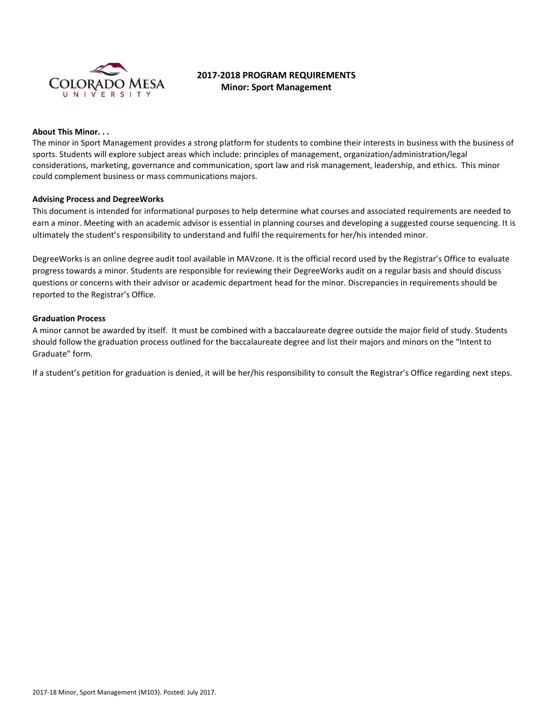

# **2017-2018 PROGRAM REQUIREMENTS Minor: Sport Management**

## **About This Minor. . .**

The minor in Sport Management provides a strong platform for students to combine their interests in business with the business of sports. Students will explore subject areas which include: principles of management, organization/administration/legal considerations, marketing, governance and communication, sport law and risk management, leadership, and ethics. This minor could complement business or mass communications majors.

## **Advising Process and DegreeWorks**

This document is intended for informational purposes to help determine what courses and associated requirements are needed to earn a minor. Meeting with an academic advisor is essential in planning courses and developing a suggested course sequencing. It is ultimately the student's responsibility to understand and fulfil the requirements for her/his intended minor.

DegreeWorks is an online degree audit tool available in MAVzone. It is the official record used by the Registrar's Office to evaluate progress towards a minor. Students are responsible for reviewing their DegreeWorks audit on a regular basis and should discuss questions or concerns with their advisor or academic department head for the minor. Discrepancies in requirements should be reported to the Registrar's Office.

#### **Graduation Process**

A minor cannot be awarded by itself. It must be combined with a baccalaureate degree outside the major field of study. Students should follow the graduation process outlined for the baccalaureate degree and list their majors and minors on the "Intent to Graduate" form.

If a student's petition for graduation is denied, it will be her/his responsibility to consult the Registrar's Office regarding next steps.